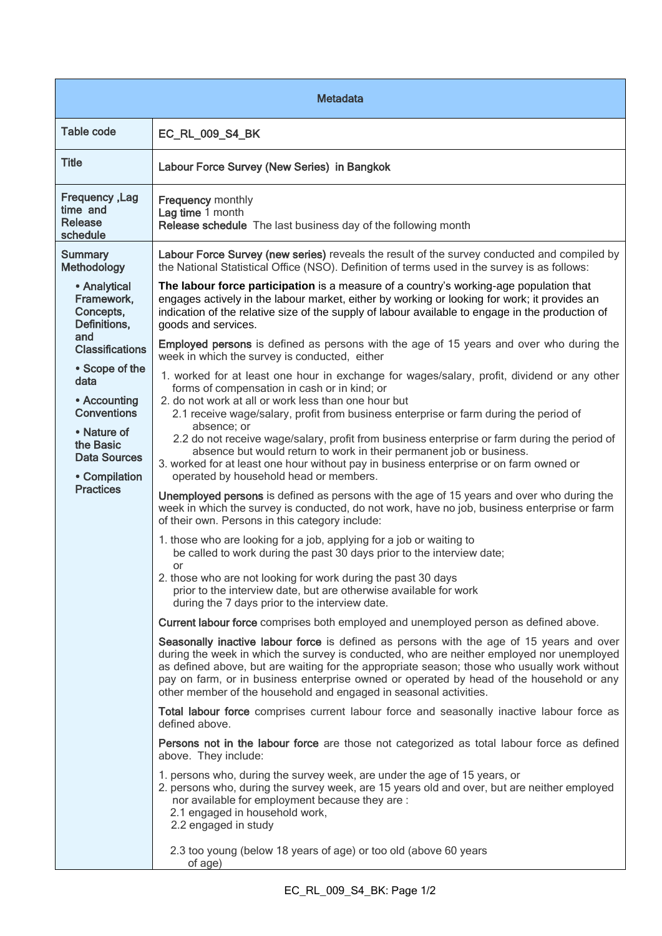| <b>Metadata</b>                                                                                                                                                                                                                                  |                                                                                                                                                                                                                                                                                                                                                                                                                                                                                     |  |
|--------------------------------------------------------------------------------------------------------------------------------------------------------------------------------------------------------------------------------------------------|-------------------------------------------------------------------------------------------------------------------------------------------------------------------------------------------------------------------------------------------------------------------------------------------------------------------------------------------------------------------------------------------------------------------------------------------------------------------------------------|--|
| <b>Table code</b>                                                                                                                                                                                                                                | EC_RL_009_S4_BK                                                                                                                                                                                                                                                                                                                                                                                                                                                                     |  |
| <b>Title</b>                                                                                                                                                                                                                                     | Labour Force Survey (New Series) in Bangkok                                                                                                                                                                                                                                                                                                                                                                                                                                         |  |
| <b>Frequency, Lag</b><br>time and<br><b>Release</b><br>schedule                                                                                                                                                                                  | <b>Frequency monthly</b><br>Lag time 1 month<br>Release schedule The last business day of the following month                                                                                                                                                                                                                                                                                                                                                                       |  |
| <b>Summary</b><br>Methodology                                                                                                                                                                                                                    | Labour Force Survey (new series) reveals the result of the survey conducted and compiled by<br>the National Statistical Office (NSO). Definition of terms used in the survey is as follows:                                                                                                                                                                                                                                                                                         |  |
| • Analytical<br>Framework,<br>Concepts,<br>Definitions,<br>and<br><b>Classifications</b><br>• Scope of the<br>data<br>• Accounting<br><b>Conventions</b><br>• Nature of<br>the Basic<br><b>Data Sources</b><br>• Compilation<br><b>Practices</b> | The labour force participation is a measure of a country's working-age population that<br>engages actively in the labour market, either by working or looking for work; it provides an<br>indication of the relative size of the supply of labour available to engage in the production of<br>goods and services.                                                                                                                                                                   |  |
|                                                                                                                                                                                                                                                  | Employed persons is defined as persons with the age of 15 years and over who during the<br>week in which the survey is conducted, either                                                                                                                                                                                                                                                                                                                                            |  |
|                                                                                                                                                                                                                                                  | 1. worked for at least one hour in exchange for wages/salary, profit, dividend or any other<br>forms of compensation in cash or in kind; or<br>2. do not work at all or work less than one hour but<br>2.1 receive wage/salary, profit from business enterprise or farm during the period of<br>absence; or<br>2.2 do not receive wage/salary, profit from business enterprise or farm during the period of<br>absence but would return to work in their permanent job or business. |  |
|                                                                                                                                                                                                                                                  | 3. worked for at least one hour without pay in business enterprise or on farm owned or<br>operated by household head or members.                                                                                                                                                                                                                                                                                                                                                    |  |
|                                                                                                                                                                                                                                                  | Unemployed persons is defined as persons with the age of 15 years and over who during the<br>week in which the survey is conducted, do not work, have no job, business enterprise or farm<br>of their own. Persons in this category include:                                                                                                                                                                                                                                        |  |
|                                                                                                                                                                                                                                                  | 1. those who are looking for a job, applying for a job or waiting to<br>be called to work during the past 30 days prior to the interview date;<br>or                                                                                                                                                                                                                                                                                                                                |  |
|                                                                                                                                                                                                                                                  | 2. those who are not looking for work during the past 30 days<br>prior to the interview date, but are otherwise available for work<br>during the 7 days prior to the interview date.                                                                                                                                                                                                                                                                                                |  |
|                                                                                                                                                                                                                                                  | Current labour force comprises both employed and unemployed person as defined above.                                                                                                                                                                                                                                                                                                                                                                                                |  |
|                                                                                                                                                                                                                                                  | Seasonally inactive labour force is defined as persons with the age of 15 years and over<br>during the week in which the survey is conducted, who are neither employed nor unemployed<br>as defined above, but are waiting for the appropriate season; those who usually work without<br>pay on farm, or in business enterprise owned or operated by head of the household or any<br>other member of the household and engaged in seasonal activities.                              |  |
|                                                                                                                                                                                                                                                  | Total labour force comprises current labour force and seasonally inactive labour force as<br>defined above.                                                                                                                                                                                                                                                                                                                                                                         |  |
|                                                                                                                                                                                                                                                  | Persons not in the labour force are those not categorized as total labour force as defined<br>above. They include:                                                                                                                                                                                                                                                                                                                                                                  |  |
|                                                                                                                                                                                                                                                  | 1. persons who, during the survey week, are under the age of 15 years, or<br>2. persons who, during the survey week, are 15 years old and over, but are neither employed<br>nor available for employment because they are :<br>2.1 engaged in household work,<br>2.2 engaged in study                                                                                                                                                                                               |  |
|                                                                                                                                                                                                                                                  | 2.3 too young (below 18 years of age) or too old (above 60 years<br>of age)                                                                                                                                                                                                                                                                                                                                                                                                         |  |